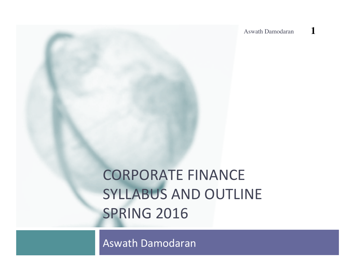Aswath Damodaran **1**

# **CORPORATE FINANCE SYLLABUS AND OUTLINE SPRING 2016**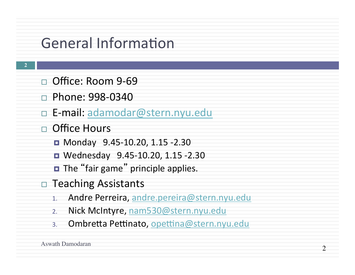### General Information

- □ Office: Room 9-69
- □ Phone: 998-0340
- □ E-mail: adamodar@stern.nyu.edu
- □ Office Hours
	- Monday 9.45-10.20, 1.15 -2.30
	- Wednesday 9.45-10.20, 1.15 -2.30
	- $\blacksquare$  The "fair game" principle applies.
- $\Box$  Teaching Assistants
	- 1. Andre Perreira, andre.pereira@stern.nyu.edu
	- 2. Nick McIntyre, nam530@stern.nyu.edu
	- 3. Ombretta Pettinato, opettina@stern.nyu.edu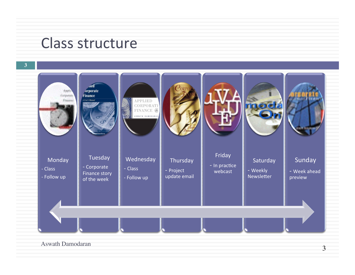#### Class structure

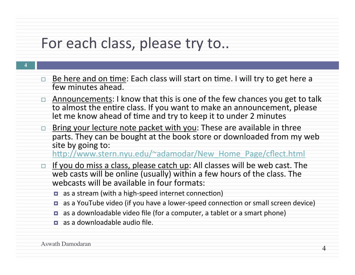### For each class, please try to..

- □ Be here and on time: Each class will start on time. I will try to get here a few minutes ahead. □ Announcements: I know that this is one of the few chances you get to talk
	- to almost the entire class. If you want to make an announcement, please let me know ahead of time and try to keep it to under 2 minutes
	- □ Bring your lecture note packet with you: These are available in three parts. They can be bought at the book store or downloaded from my web site by going to:

http://www.stern.nyu.edu/~adamodar/New Home Page/cflect.html

- If you do miss a class, please catch up: All classes will be web cast. The web casts will be online (usually) within a few hours of the class. The webcasts will be available in four formats:
	- $\blacksquare$  as a stream (with a high-speed internet connection)
	- as a YouTube video (if you have a lower-speed connection or small screen device)
	- $\blacksquare$  as a downloadable video file (for a computer, a tablet or a smart phone)
	- $\Box$  as a downloadable audio file.

Aswath Damodaran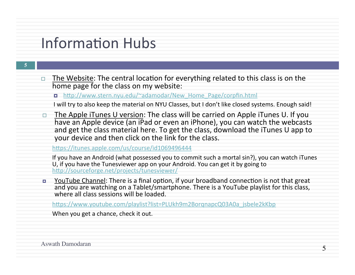#### **Information Hubs**

- $\Box$  The Website: The central location for everything related to this class is on the home page for the class on my website:
	- ¤ h[p://www.stern.nyu.edu/~adamodar/New\_Home\_Page/corpfin.html
	- I will try to also keep the material on NYU Classes, but I don't like closed systems. Enough said!
- $\Box$  The Apple iTunes U version: The class will be carried on Apple iTunes U. If you have an Apple device (an iPad or even an iPhone), you can watch the webcasts and get the class material here. To get the class, download the iTunes U app to your device and then click on the link for the class.

https://itunes.apple.com/us/course/id1069496444

If you have an Android (what possessed you to commit such a mortal sin?), you can watch iTunes U, if you have the Tunesviewer app on your Android. You can get it by going to http://sourceforge.net/projects/tunesviewer/

YouTube Channel: There is a final option, if your broadband connection is not that great and you are watching on a Tablet/smartphone. There is a YouTube playlist for this class. where all class sessions will be loaded.

https://www.youtube.com/playlist?list=PLUkh9m2BorgnapcQ03A0a\_jsbele2kKbp

When you get a chance, check it out.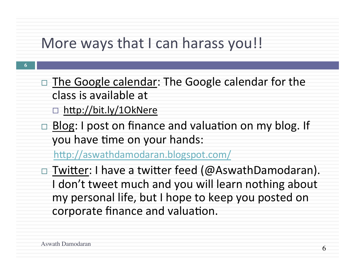#### More ways that I can harass you!!

- **6**
- $\Box$  The Google calendar: The Google calendar for the class is available at
	- $\Box$  http://bit.ly/1OkNere
- $\Box$  Blog: I post on finance and valuation on my blog. If you have time on your hands:

http://aswathdamodaran.blogspot.com/

 $\Box$  Twitter: I have a twitter feed (@AswathDamodaran). I don't tweet much and you will learn nothing about my personal life, but I hope to keep you posted on corporate finance and valuation.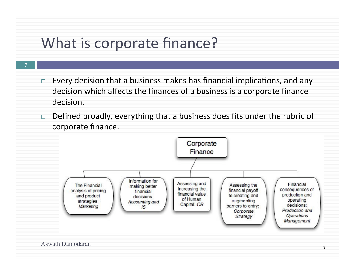## What is corporate finance?

- $\Box$  Every decision that a business makes has financial implications, and any decision which affects the finances of a business is a corporate finance decision.
- $\Box$  Defined broadly, everything that a business does fits under the rubric of corporate finance.

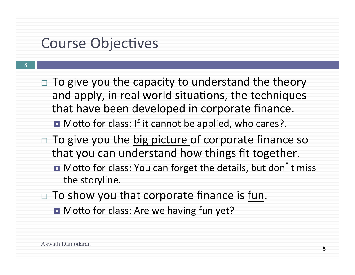### **Course Objectives**

 $\Box$  To give you the capacity to understand the theory and apply, in real world situations, the techniques that have been developed in corporate finance.

**□** Motto for class: If it cannot be applied, who cares?.

- $\Box$  To give you the big picture of corporate finance so that you can understand how things fit together.
	- **□** Motto for class: You can forget the details, but don't miss the storyline.
- $\Box$  To show you that corporate finance is fun.
	- **□** Motto for class: Are we having fun yet?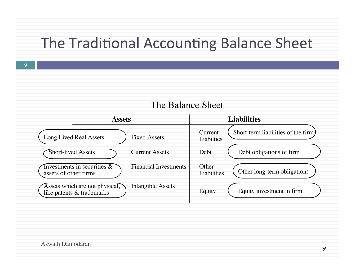#### The Traditional Accounting Balance Sheet



#### The Balance Sheet

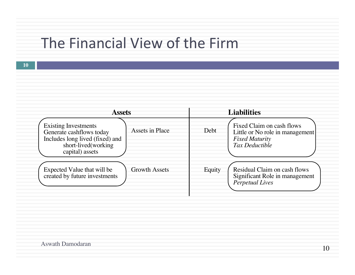#### The Financial View of the Firm

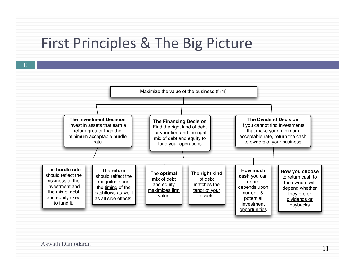#### First Principles & The Big Picture

**11**

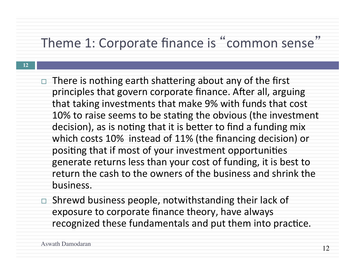### Theme 1: Corporate finance is "common sense"

- $\Box$  There is nothing earth shattering about any of the first principles that govern corporate finance. After all, arguing that taking investments that make 9% with funds that cost 10% to raise seems to be stating the obvious (the investment decision), as is noting that it is better to find a funding mix which costs 10% instead of 11% (the financing decision) or positing that if most of your investment opportunities generate returns less than your cost of funding, it is best to return the cash to the owners of the business and shrink the business.
- $\Box$  Shrewd business people, notwithstanding their lack of exposure to corporate finance theory, have always recognized these fundamentals and put them into practice.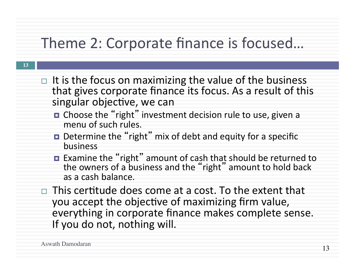## Theme 2: Corporate finance is focused...

- $\Box$  It is the focus on maximizing the value of the business that gives corporate finance its focus. As a result of this singular objective, we can
	- Choose the "right" investment decision rule to use, given a menu of such rules.
	- Determine the "right" mix of debt and equity for a specific business
	- Examine the "right" amount of cash that should be returned to the owners of a business and the "right" amount to hold back as a cash balance.
- This certitude does come at a cost. To the extent that you accept the objective of maximizing firm value, everything in corporate finance makes complete sense. If you do not, nothing will.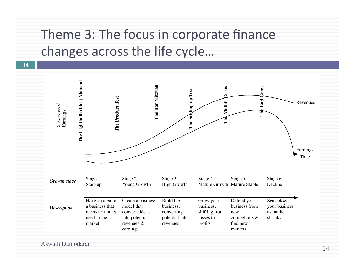### Theme 3: The focus in corporate finance changes across the life cycle...



Aswath Damodaran

**14**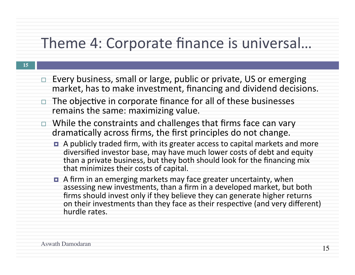### Theme 4: Corporate finance is universal...

- $\Box$  Every business, small or large, public or private, US or emerging market, has to make investment, financing and dividend decisions.
- $\Box$  The objective in corporate finance for all of these businesses remains the same: maximizing value.
- $\Box$  While the constraints and challenges that firms face can vary dramatically across firms, the first principles do not change.
	- A publicly traded firm, with its greater access to capital markets and more diversified investor base, may have much lower costs of debt and equity than a private business, but they both should look for the financing mix that minimizes their costs of capital.
	- A firm in an emerging markets may face greater uncertainty, when assessing new investments, than a firm in a developed market, but both firms should invest only if they believe they can generate higher returns on their investments than they face as their respective (and very different) hurdle rates.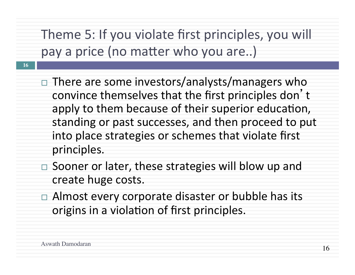Theme 5: If you violate first principles, you will pay a price (no matter who you are..)

- $\Box$  There are some investors/analysts/managers who convince themselves that the first principles don't apply to them because of their superior education, standing or past successes, and then proceed to put into place strategies or schemes that violate first principles.
- Sooner or later, these strategies will blow up and create huge costs.
- $\Box$  Almost every corporate disaster or bubble has its origins in a violation of first principles.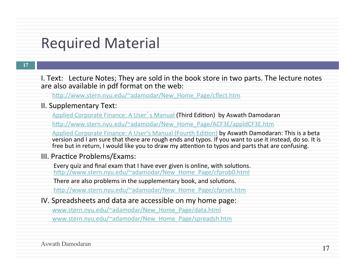#### **Required Material**

#### **17**

- I. Text: Lecture Notes; They are sold in the book store in two parts. The lecture notes are also available in pdf format on the web:
	- http://www.stern.nyu.edu/~adamodar/New\_Home\_Page/cflect.htm

#### II. Supplementary Text:

Applied Corporate Finance: A User's Manual (Third Edition) by Aswath Damodaran

http://www.stern.nyu.edu/~adamodar/New\_Home\_Page/ACF3E/appldCF3E.htm

Applied Corporate Finance: A User's Manual (Fourth Edition) by Aswath Damodaran: This is a beta version and I am sure that there are rough ends and typos. If you want to use it instead, do so. It is free but in return, I would like you to draw my attention to typos and parts that are confusing.

#### III. Practice Problems/Exams:

Every quiz and final exam that I have ever given is online, with solutions. http://www.stern.nyu.edu/~adamodar/New\_Home\_Page/cfprob0.html

There are also problems in the supplementary book, and solutions.

http://www.stern.nyu.edu/~adamodar/New\_Home\_Page/cfprset.htm

IV. Spreadsheets and data are accessible on my home page:

www.stern.nyu.edu/~adamodar/New\_Home\_Page/data.html www.stern.nyu.edu/~adamodar/New\_Home\_Page/spreadsh.htm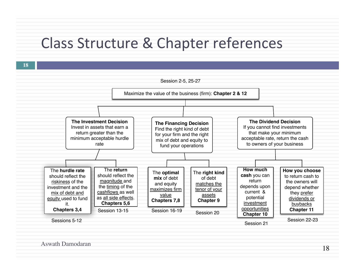#### Class Structure & Chapter references

**18**

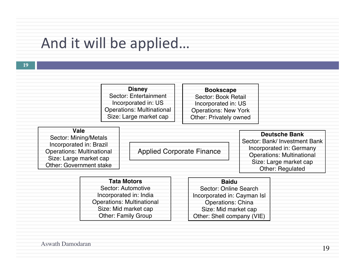## And it will be applied...

| <b>Disney</b>                    |
|----------------------------------|
| Sector: Entertainment            |
| Incorporated in: US              |
| <b>Operations: Multinational</b> |
| Size: Large market cap           |

| <b>Bookscape</b>              |
|-------------------------------|
| Sector: Book Retail           |
| Incorporated in: US           |
| <b>Operations: New York</b>   |
| <b>Other: Privately owned</b> |

| Vale                             |                                  |                                  |
|----------------------------------|----------------------------------|----------------------------------|
| Sector: Mining/Metals            |                                  | Deutsche Bank                    |
|                                  |                                  | Sector: Bank/ Investment Bank    |
| Incorporated in: Brazil          | <b>Applied Corporate Finance</b> | Incorporated in: Germany         |
| <b>Operations: Multinational</b> |                                  | <b>Operations: Multinational</b> |
| Size: Large market cap           |                                  |                                  |
| Other: Government stake          |                                  | Size: Large market cap           |
|                                  |                                  | Other: Regulated                 |

| <b>Tata Motors</b>               |  |
|----------------------------------|--|
| Sector: Automotive               |  |
| Incorporated in: India           |  |
| <b>Operations: Multinational</b> |  |
| Size: Mid market cap             |  |
| <b>Other: Family Group</b>       |  |

| <b>Baidu</b>                |
|-----------------------------|
| Sector: Online Search       |
| Incorporated in: Cayman Isl |
| <b>Operations: China</b>    |
| Size: Mid market cap        |
| Other: Shell company (VIE)  |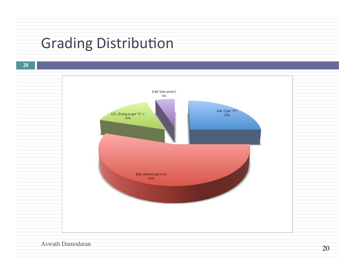## **Grading Distribution**

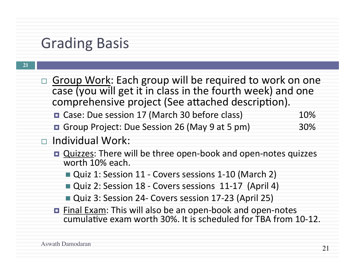### **Grading Basis**

**21**

□ Group Work: Each group will be required to work on one case (you will get it in class in the fourth week) and one comprehensive project (See attached description). ■ Case: Due session 17 (March 30 before class) 10% ■ Group Project: Due Session 26 (May 9 at 5 pm) 30% □ Individual Work: **□** Quizzes: There will be three open-book and open-notes quizzes worth 10% each. ■ Quiz 1: Session 11 - Covers sessions 1-10 (March 2) **Quiz 2: Session 18 - Covers sessions 11-17 (April 4)** ■ Quiz 3: Session 24- Covers session 17-23 (April 25) □ Final Exam: This will also be an open-book and open-notes cumulative exam worth 30%. It is scheduled for TBA from 10-12.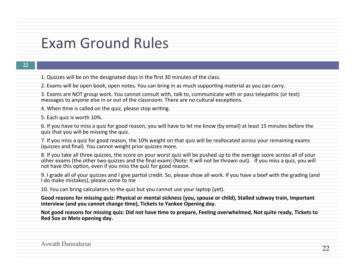#### Exam Ground Rules

- 1. Quizzes will be on the designated days in the first 30 minutes of the class.
- 2. Exams will be open book, open notes. You can bring in as much supporting material as you can carry.
- 3. Exams are NOT group work. You cannot consult with, talk to, communicate with or pass telepathic (or text) messages to anyone else in or out of the classroom. There are no cultural exceptions.
- 4. When time is called on the quiz, please stop writing.
- 5. Each quiz is worth 10%.
- 6. If you have to miss a quiz for good reason, you will have to let me know (by email) at least 15 minutes before the quiz that you will be missing the quiz.
- 7. If you miss a quiz for good reason, the 10% weight on that quiz will be reallocated across your remaining exams (quizzes and final). You cannot weight prior quizzes more.
- 8. If you take all three quizzes, the score on your worst quiz will be pushed up to the average score across all of your other exams (the other two quizzes and the final exam) (Note: It will not be thrown out). If you miss a quiz, you will not have this option, even if you miss the quiz for good reason.
- 9. I grade all of your quizzes and I give partial credit. So, please show all work. If you have a beef with the grading (and I do make mistakes), please come to me
- 10. You can bring calculators to the quiz but you cannot use your laptop (yet).
- Good reasons for missing quiz: Physical or mental sickness (you, spouse or child), Stalled subway train, Important interview (and you cannot change time), Tickets to Yankee Opening day.
- Not good reasons for missing quiz: Did not have time to prepare, Feeling overwhelmed, Not quite ready, Tickets to **Red Sox or Mets opening day.**